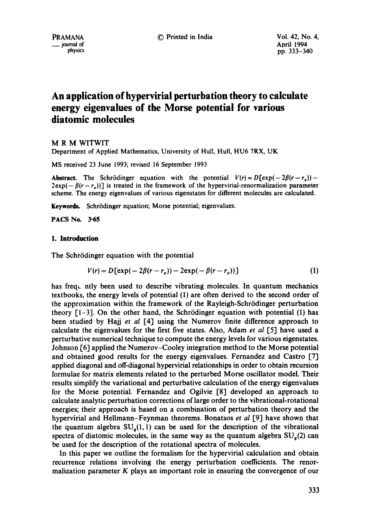PRAMANA © Printed in India Voi. 42, No. 4, m in the matrix of a physics and the matrix of a physics of a physics of a physics of a physics of a physics of a physics of a physics of a physics of a physics of a physics of a physics of a physics of a physics of a phys pp. 333-340

# **An application of hypervirial perturbation theory to calculate energy eigenvalues of the Morse potential for various diatomic molecules**

M R M WITWIT

Department of Applied Mathematics, University of Hull, Hull, HU6 7RX, UK

MS received 23 June 1993; revised 16 September 1993

**Abstract.** The Schrödinger equation with the potential  $V(r) = D[\exp(-2\beta(r-r_e)) 2 \exp(-\beta(r-r_a))$ ] is treated in the framework of the hypervirial-renormalization parameter scheme. The energy eigenvalues of various eigenstates for different molecules are calculated.

Keywords. Schrödinger equation; Morse potential; eigenvalues.

**PACS No. 3"65** 

#### **1. Introduction**

The Schrödinger equation with the potential

$$
V(r) = D[\exp(-2\beta(r - r_e)) - 2\exp(-\beta(r - r_e))]
$$
\n(1)

has freq, ntly been used to describe vibrating molecules. In quantum mechanics textbooks, the energy levels of potential (1) are often derived to the second order of the approximation within the framework of the Rayleigh-Schrödinger perturbation theory  $[1-3]$ . On the other hand, the Schrödinger equation with potential (1) has been studied by Hajj *et al* [4] using the Numerov finite difference approach to calculate the eigenvatues for the first five states. Also, Adam *et al* [5] have used a perturbative numerical technique to compute the energy levels for various eigenstates. Johnson [6] applied the Numerov-Cooley integration method to the Morse potential and obtained good results for the energy eigenvalues. Fernandez and Castro [7] applied diagonal and off-diagonal hypervirial relationships in order to obtain recursion formulae for matrix elements related to the perturbed Morse oscillator model. Their results simplify the variational and perturbative calculation of the energy eigenvalues for the Morse potential. Fernandez and Ogilvie [8] developed an approach to calculate analytic perturbation corrections of large order to the vibrational-rotational energies; their approach is based on a combination of perturbation theory and the hypervirial and Hellmann-Feynman theorems. Bonatsos *et al* [9] have shown that the quantum algebra  $SU<sub>o</sub>(1, 1)$  can be used for the description of the vibrational spectra of diatomic molecules, in the same way as the quantum algebra  $SU_a(2)$  can be used for the description of the rotational spectra of molecules.

In this paper we outline the formalism for the hypervirial calculation and obtain recurrence relations involving the energy perturbation coefficients. The renormalization parameter K plays an important role in ensuring the convergence of our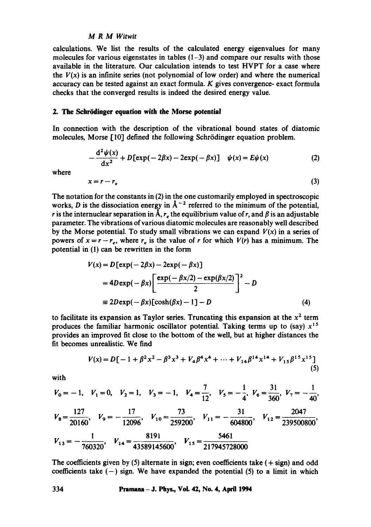calculations. We list the results of the calculated energy eigenvalues for many molecules for various eigenstates in tables  $(1-3)$  and compare our results with those available in the literature. Our calculation intends to test HVPT for a case where the  $V(x)$  is an infinite series (not polynomial of low order) and where the numerical accuracy can be tested against an exact formula. K gives convergence- exact formula checks that the converged results is indeed the desired energy value.

## **2. The Schr6dinger equation with the Morse potential**

In connection with the description of the vibrational bound states of diatomic molecules, Morse [10] defined the following Schrödinger equation problem.

$$
-\frac{d^2\psi(x)}{dx^2} + D\left[\exp(-2\beta x) - 2\exp(-\beta x)\right] \quad \psi(x) = E\psi(x) \tag{2}
$$

where

$$
x = r - r_e \tag{3}
$$

The notation for the constants in (2) in the one customarily employed in spectroscopic works, D is the dissociation energy in  $\AA^{-2}$  referred to the minimum of the potential, r is the internuclear separation in  $\tilde{A}$ ,  $r_e$  the equilibrium value of r, and  $\beta$  is an adjustable parameter. The vibrations of various diatomic molecules are reasonably well described by the Morse potential. To study small vibrations we can expand  $V(x)$  in a series of powers of  $x = r - r_e$ , where  $r_e$  is the value of r for which  $V(r)$  has a minimum. The potential in (1) can be rewritten in the form

$$
V(x) = D[\exp(-2\beta x) - 2\exp(-\beta x)]
$$
  
=  $4D \exp(-\beta x) \left[ \frac{\exp(-\beta x/2) - \exp(\beta x/2)}{2} \right]^2 - D$   

$$
\equiv 2D \exp(-\beta x) [\cosh(\beta x) - 1] - D
$$
 (4)

to facilitate its expansion as Taylor series. Truncating this expansion at the  $x<sup>2</sup>$  term produces the familiar harmonic oscillator potential. Taking terms up to (say)  $x^{15}$ provides an improved fit close to the bottom of the well, but at higher distances the fit becomes unrealistic. We find

$$
V(x) = D[-1 + \beta^2 x^2 - \beta^3 x^3 + V_4 \beta^4 x^4 + \dots + V_{14} \beta^{14} x^{14} + V_{15} \beta^{15} x^{15}]
$$
\n(5)

with

$$
V_0 = -1
$$
,  $V_1 = 0$ ,  $V_2 = 1$ ,  $V_3 = -1$ ,  $V_4 = \frac{7}{12}$ ,  $V_5 = -\frac{1}{4}$ ,  $V_6 = \frac{31}{360}$ ,  $V_7 = -\frac{1}{40}$ ,  
\n $V_8 = \frac{127}{20160}$ ,  $V_9 = -\frac{17}{12096}$ ,  $V_{10} = \frac{73}{259200}$ ,  $V_{11} = -\frac{31}{604800}$ ,  $V_{12} = \frac{2047}{239500800}$ ,  
\n $V_{13} = -\frac{1}{760320}$ ,  $V_{14} = \frac{8191}{43589145600}$ ,  $V_{15} = \frac{5461}{217945728000}$ 

The coefficients given by  $(5)$  alternate in sign; even coefficients take  $(+)$  sign) and odd coefficients take  $(-)$  sign. We have expanded the potential (5) to a limit in which

**334 Pramana - J. Phys., VoL 42, No. 4, April 1994**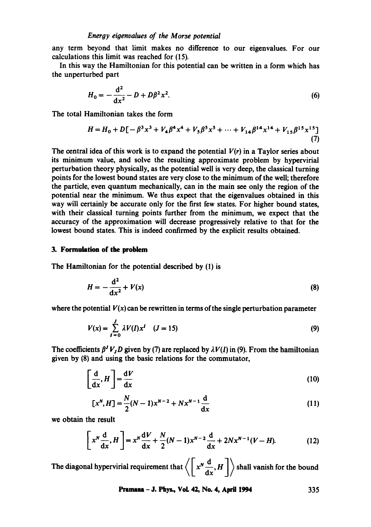any term beyond that limit makes no difference to our eigenvalues. For our calculations this limit was reached for (15).

In this way the Hamiltonian for this potential can be written in a form which has the unperturbed part

$$
H_0 = -\frac{d^2}{dx^2} - D + D\beta^2 x^2.
$$
 (6)

The total Hamiltonian takes the form

$$
H = H_0 + D[-\beta^3 x^3 + V_4 \beta^4 x^4 + V_5 \beta^5 x^5 + \dots + V_{14} \beta^{14} x^{14} + V_{15} \beta^{15} x^{15}]
$$
  
(7)

The central idea of this work is to expand the potential  $V(r)$  in a Taylor series about its minimum value, and solve the resulting approximate problem by hypervirial perturbation theory physically, as the potential well is very deep, the classical turning points for the lowest bound states are very close to the minimum of the well; therefore the particle, even quantum mechanically, can in the main see only the region of the potential near the minimum. We thus expect that the eigenvalues obtained in this way will certainly be accurate only for the first few states. For higher bound states, with their classical turning points further from the minimum, we expect that the accuracy of the approximation will decrease progressively relative to that for the lowest bound states. This is indeed confirmed by the explicit results obtained.

# 3. **Formulation of the problem**

The Hamiltonian for the potential described by (1) is

$$
H = -\frac{\mathrm{d}^2}{\mathrm{d}x^2} + V(x) \tag{8}
$$

where the potential  $V(x)$  can be rewritten in terms of the single perturbation parameter

$$
V(x) = \sum_{I=0}^{J} \lambda V(I) x^{I} \quad (J=15)
$$
 (9)

The coefficients  $\beta^J V_j D$  given by (7) are replaced by  $\lambda V(I)$  in (9). From the hamiltonian given by (8) and using the basic relations for the commutator,

$$
\left[\frac{\mathrm{d}}{\mathrm{d}x},H\right]=\frac{\mathrm{d}V}{\mathrm{d}x}\tag{10}
$$

$$
[xN, H] = \frac{N}{2}(N-1)xN-2 + NxN-1 \frac{d}{dx}
$$
 (11)

we obtain the result

$$
\[x^N \frac{d}{dx}, H\] = x^N \frac{dV}{dx} + \frac{N}{2}(N-1)x^{N-2} \frac{d}{dx} + 2Nx^{N-1}(V-H). \tag{12}
$$

The diagonal hypervirial requirement that  $\left\langle \left[ x^N \frac{d}{dx}, H \right] \right\rangle$  shall vanish for the bound

Pramaaa - J. Phys., VoL 42, No. 4, April 1994 335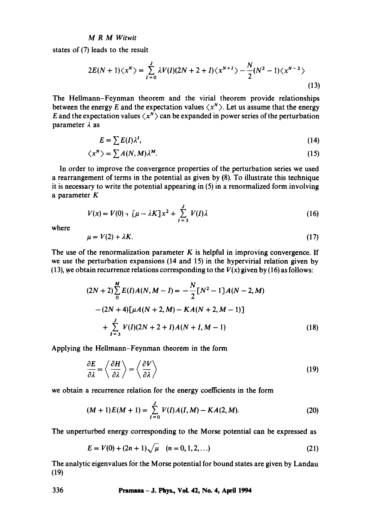states of (7) leads to the result

$$
2E(N + 1)\langle x^N \rangle = \sum_{i=0}^{J} \lambda V(I)(2N + 2 + I)\langle x^{N+1} \rangle - \frac{N}{2}(N^2 - 1)\langle x^{N-2} \rangle
$$
\n(13)

The Hellmann-Feynman theorem and the virial theorem provide relationships between the energy E and the expectation values  $\langle x^N \rangle$ . Let us assume that the energy E and the expectation values  $\langle x^N \rangle$  can be expanded in power series of the perturbation parameter  $\lambda$  as

$$
E = \sum E(I) \lambda^I,\tag{14}
$$

$$
\langle x^N \rangle = \sum A(N, M) \lambda^M. \tag{15}
$$

In order to improve the convergence properties of the perturbation series we used a rearrangement of terms in the potential as given by (8). To illustrate this technique it is necessary to write the potential appearing in (5) in a renormalized form involving a parameter K

$$
V(x) = V(0) + \left[\mu - \lambda K\right]x^2 + \sum_{I=3}^{J} V(I)\lambda
$$
 (16)

where

$$
\mu = V(2) + \lambda K. \tag{17}
$$

The use of the renormalization parameter  $K$  is helpful in improving convergence. If we use the perturbation expansions (14 and 15) in the hypervirial relation given by (13), we obtain recurrence relations corresponding to the  $V(x)$  given by (16) as follows:

$$
(2N+2)\sum_{0}^{M} E(I)A(N, M-I) = -\frac{N}{2}[N^{2}-1]A(N-2, M)
$$

$$
-(2N+4)[\mu A(N+2, M) - KA(N+2, M-1)]
$$

$$
+\sum_{I=3}^{J} V(I)(2N+2+I)A(N+I, M-1)
$$
(18)

Applying the Hellmann-Feynman theorem in the form

$$
\frac{\partial E}{\partial \lambda} = \left\langle \frac{\partial H}{\partial \lambda} \right\rangle = \left\langle \frac{\partial V}{\partial \lambda} \right\rangle
$$
 (19)

we obtain a recurrence relation for the energy coefficients in the form

$$
(M+1)E(M+1) = \sum_{I=0}^{J} V(I)A(I,M) - KA(2,M).
$$
 (20)

The unperturbed energy corresponding to the Morse potential can be expressed as

$$
E = V(0) + (2n + 1)\sqrt{\mu} \quad (n = 0, 1, 2, ...)
$$
 (21)

The analytic eigenvalues for the Morse potential for bound states are given by Landau (19)

**336 Pramana - J. Phys., VoL 42, No. 4, April 1994**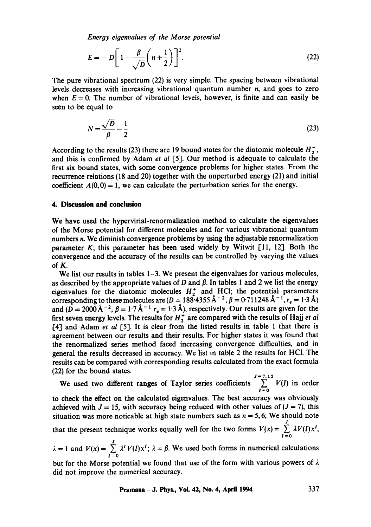*Energy eigenvalues of the Morse potential* 

$$
E = -D\left[1 - \frac{\beta}{\sqrt{D}}\left(n + \frac{1}{2}\right)\right]^2. \tag{22}
$$

The pure vibrational spectrum (22) is very simple. The spacing between vibrational levels decreases with increasing vibrational quantum number  $n$ , and goes to zero when  $E = 0$ . The number of vibrational levels, however, is finite and can easily be seen to be equal to

$$
N = \frac{\sqrt{D}}{\beta} - \frac{1}{2} \tag{23}
$$

According to the results (23) there are 19 bound states for the diatomic molecule  $H_7^+$ , and this is confirmed by Adam *et al* [5]. Our method is adequate to calculate the first six bound states, with some convergence problems for higher states. From the recurrence relations (18 and 20) together with the unperturbed energy (21) and initial coefficient  $A(0, 0) = 1$ , we can calculate the perturbation series for the energy.

# **4. Discussion and conclusion**

We have used the hypervirial-renormalization method to calculate the eigenvalues of the Morse potential for different molecules and for various vibrational quantum numbers n. We diminish convergence problems by using the adjustable renormalization parameter  $K$ ; this parameter has been used widely by Witwit [11, 12]. Both the convergence and the accuracy of the results can be controlled by varying the values of K.

We list our results in tables 1–3. We present the eigenvalues for various molecules, as described by the appropriate values of D and  $\beta$ . In tables 1 and 2 we list the energy eigenvalues for the diatomic molecules  $H^+$  and HCI; the potential parameters corresponding to these molecules are  $(D = 188.4355 \text{ A}^{-2}, \beta = 0.711248 \text{ A}^{-1}, r_e = 1.3 \text{ A})$ and  $(D = 2000 \text{ Å}^{-2}$ ,  $\beta = 1.7 \text{ Å}^{-1}$  r<sub>e</sub> = 1.3 Å), respectively. Our results are given for the first seven energy levels. The results for  $H_2^+$  are compared with the results of Hajj *et al* [4] and Adam *et al* [5]. It is clear from the listed results in table 1 that there is agreement between our results and their results. For higher states it was found that the renormalized series method faced increasing convergence difficulties, and in general the results decreased in accuracy. We list in table 2 the results for HCI. The results can be compared with corresponding results calculated from the exact formula (22) for the bound states.

 $J=7,15$ We used two different ranges of Taylor series coefficients  $\sum_{I=0} V(I)$  in order

to check the effect on the calculated eigenvalues. The best accuracy was obviously achieved with  $J = 15$ , with accuracy being reduced with other values of  $(J = 7)$ , this situation was more noticable at high state numbers such as  $n = 5, 6$ ; We should note J

that the present technique works equally well for the two forms  $V(x) = \sum_{i=0}^{\infty} \lambda V(i)x^{i}$ ,

 $\lambda = 1$  and  $V(x) = \sum_{i=1}^{J} \lambda^i V(i) x^i$ ;  $\lambda = \beta$ . We used both forms in numerical calculations *1=0*  but for the Morse potential we found that use of the form with various powers of  $\lambda$ 

did not improve the numerical accuracy.

**Pramana - J. Phys., Vol. 42, No. 4, April 1994 337**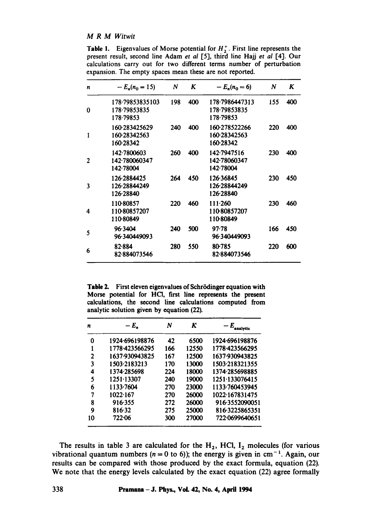**Table 1.** Eigenvalues of Morse potential for  $H_2^+$ . First line represents the present result, second line Adam *et al* [5], third line Hajj *et al* [4]. Our calculations carry out for two different terms number of perturbation expansion. The empty spaces mean these are not reported.

| n            | $-E_n(n_0 = 15)$                             | N   | K   | $-E_n(n_0=6)$                               | N   | K   |
|--------------|----------------------------------------------|-----|-----|---------------------------------------------|-----|-----|
| 0            | 178.79853835103<br>178-79853835<br>178-79853 | 198 | 400 | 178.7986447313<br>178-79853835<br>178.79853 | 155 | 400 |
| $\mathbf{1}$ | 160-283425629<br>160-28342563<br>160-28342   | 240 | 400 | 160-278522266<br>160-28342563<br>160-28342  | 220 | 400 |
| $\mathbf{2}$ | 142.7800603<br>142.780060347<br>142-78004    | 260 | 400 | 142-7947516<br>142-78060347<br>142-78004    | 230 | 400 |
| 3            | 126-2884425<br>126.28844249<br>126.28840     | 264 | 450 | 126.36845<br>126.28844249<br>126.28840      | 230 | 450 |
| 4            | 110-80857<br>110-80857207<br>110-80849       | 220 | 460 | 111.260<br>110-80857207<br>110-80849        | 230 | 460 |
| 5            | 96.3404<br>96.340449093                      | 240 | 500 | 97.78<br>96.340449093                       | 166 | 450 |
| 6            | 82.884<br>82884073546                        | 280 | 550 | 80.785<br>82-884073546                      | 220 | 600 |

Table 2. First eleven eigenvalues of Schrödinger equation with Morse potential for HC1, first line represents the present calculations, the second line calculations computed from analytic solution given by equation (22).

| n  | $-E_{\star}$   | N   | κ     | — E<br>analytic |
|----|----------------|-----|-------|-----------------|
| 0  | 1924-696198876 | 42  | 6500  | 1924 696198876  |
| 1  | 1778-423566295 | 166 | 12550 | 1778 423566295  |
| 2  | 1637.930943825 | 167 | 12500 | 1637-930943825  |
| 3  | 1503.2183213   | 170 | 13000 | 1503-218321355  |
| 4  | 1374-285698    | 224 | 18000 | 1374-285698885  |
| 5  | 1251 13307     | 240 | 19000 | 1251.133076415  |
| 6  | 1133.7604      | 270 | 23000 | 1133-760453945  |
| 7  | 1022.167       | 270 | 26000 | 1022-167831475  |
| 8  | 916.355        | 272 | 26000 | 916-3552090051  |
| 9  | 816.32         | 275 | 25000 | 816-3225865351  |
| 10 | 722-06         | 300 | 27000 | 722.0699640651  |

The results in table 3 are calculated for the  $H_2$ , HCl,  $I_2$  molecules (for various vibrational quantum numbers ( $n = 0$  to 6)); the energy is given in cm<sup>-1</sup>. Again, our results can be compared with those produced by the exact formula, equation (22). We note that the energy levels calculated by the exact equation (22) agree formally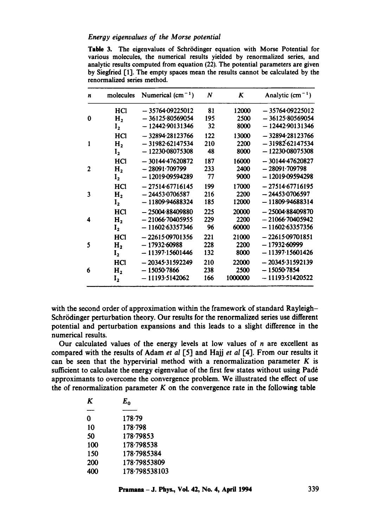#### *Energy eigenvalues of the Morse potential*

Table 3. The eigenvalues of Schrödinger equation with Morse Potential for various molecules, the numerical results yielded by renormalized series, and analytic results computed from equation (22). The potential parameters are given by Siegfried [l'l. The empty spaces mean the results cannot be calculated by the renormalized series method.

| n            | molecules      | Numerical $(cm-1)$ | N   | Κ       | Analytic $(cm-1)$ |
|--------------|----------------|--------------------|-----|---------|-------------------|
|              | HCl            | $-35764.09225012$  | 81  | 12000   | $-35764.09225012$ |
| 0            | H <sub>2</sub> | $-36125.80569054$  | 195 | 2500    | $-36125.80569054$ |
|              | I <sub>2</sub> | $-12442.90131346$  | 32  | 8000    | $-12442.90131346$ |
|              | HCl            | $-32894.28123766$  | 122 | 13000   | $-32894.28123766$ |
| 1            | Н,             | $-31982.62147534$  | 210 | 2200    | $-31982.62147534$ |
|              | $I_{2}$        | $-12230.08075308$  | 48  | 8000    | $-12230.08075308$ |
|              | HC1            | $-30144.47620872$  | 187 | 16000   | $-30144.47620827$ |
| $\mathbf{2}$ | Н,             | $-28091.709799$    | 233 | 2400    | $-28091.709798$   |
|              | $I_2$          | $-12019.09594289$  | 77  | 9000    | $-1201909594298$  |
|              | HCl            | $-27514.67716145$  | 199 | 17000   | $-2751467716195$  |
| 3            | H <sub>2</sub> | $-24453.0706587$   | 216 | 2200    | $-24453.0706597$  |
|              | I <sub>2</sub> | $-11809.94688324$  | 185 | 12000   | - 11809 94688314  |
|              | HCl            | $-25004.88409880$  | 225 | 20000   | $-25004.88409870$ |
| 4            | H <sub>2</sub> | $-21066.70405955$  | 229 | 2200    | $-21066.70405942$ |
|              | I <sub>2</sub> | $-1160263357346$   | 96  | 60000   | $-11602.63357356$ |
|              | HCl            | $-22615.09701356$  | 221 | 21000   | $-22615.09701851$ |
| 5            | H <sub>2</sub> | $-17932.60988$     | 228 | 2200    | $-17932.60999$    |
|              | I <sub>2</sub> | $-11397.15601446$  | 132 | 8000    | $-11397.15601426$ |
|              | HCI            | $-20345.31592249$  | 210 | 22000   | $-20345.31592139$ |
| 6            | H <sub>2</sub> | $-15050-7866$      | 238 | 2500    | $-150507854$      |
|              | $I_{2}$        | $-11193.5142062$   | 166 | 1000000 | $-11193.51420522$ |

with the second order of approximation within the framework of standard Rayleigh-Schrödinger perturbation theory. Our results for the renormalized series use different potential and perturbation expansions and this leads to a slight difference in the numerical results.

Our calculated values of the energy levels at low values of n are excellent as compared with the results of Adam *et al* [5] and Hajj *et al* [4]. From our results it can be seen that the hypervirial method with a renormalization parameter  $K$  is sufficient to calculate the energy eigenvalue of the first few states without using Padé approximants to overcome the convergence problem. We illustrated the effect of use the of renormalization parameter  $K$  on the convergence rate in the following table

| K   | $E_{0}$       |
|-----|---------------|
|     |               |
| 0   | $178 - 79$    |
| 10  | 178.798       |
| 50  | 178.79853     |
| 100 | 178-798538    |
| 150 | 178-7985384   |
| 200 | 178-79853809  |
| 400 | 178-798538103 |
|     |               |